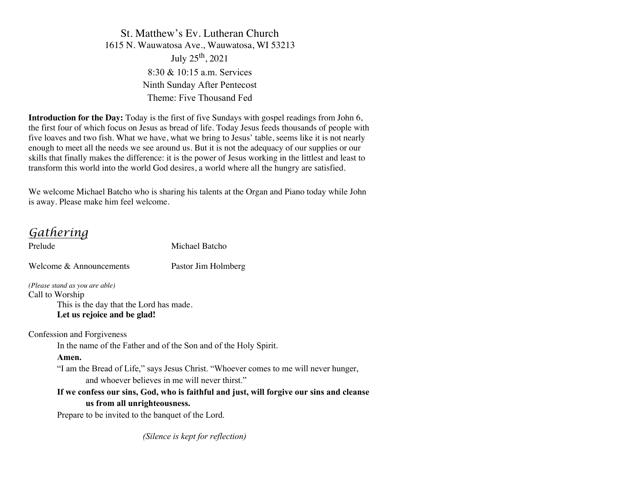St. Matthew's Ev. Lutheran Church 1615 N. Wauwatosa Ave., Wauwatosa, WI 53213 July  $25^{th}$ ,  $2021$ 8:30 & 10:15 a.m. Services Ninth Sunday After Pentecost Theme: Five Thousand Fed

**Introduction for the Day:** Today is the first of five Sundays with gospel readings from John 6, the first four of which focus on Jesus as bread of life. Today Jesus feeds thousands of people with five loaves and two fish. What we have, what we bring to Jesus' table, seems like it is not nearly enough to meet all the needs we see around us. But it is not the adequacy of our supplies or our skills that finally makes the difference: it is the power of Jesus working in the littlest and least to transform this world into the world God desires, a world where all the hungry are satisfied.

We welcome Michael Batcho who is sharing his talents at the Organ and Piano today while John is away. Please make him feel welcome.

*Gathering*

Prelude Michael Batcho

Welcome & Announcements Pastor Jim Holmberg

*(Please stand as you are able)* Call to Worship This is the day that the Lord has made.

**Let us rejoice and be glad!**

Confession and Forgiveness

In the name of the Father and of the Son and of the Holy Spirit.

## **Amen.**

"I am the Bread of Life," says Jesus Christ. "Whoever comes to me will never hunger, and whoever believes in me will never thirst."

**If we confess our sins, God, who is faithful and just, will forgive our sins and cleanse us from all unrighteousness.**

Prepare to be invited to the banquet of the Lord.

*(Silence is kept for reflection)*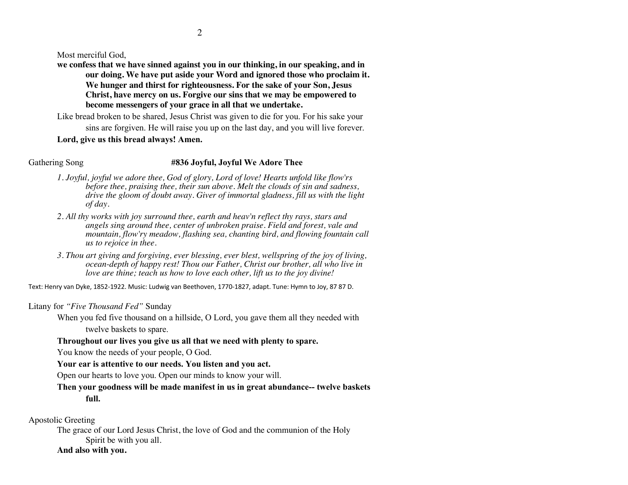Most merciful God,

**we confess that we have sinned against you in our thinking, in our speaking, and in our doing. We have put aside your Word and ignored those who proclaim it. We hunger and thirst for righteousness. For the sake of your Son, Jesus Christ, have mercy on us. Forgive our sins that we may be empowered to become messengers of your grace in all that we undertake.**

Like bread broken to be shared, Jesus Christ was given to die for you. For his sake your sins are forgiven. He will raise you up on the last day, and you will live forever.

## **Lord, give us this bread always! Amen.**

## Gathering Song **#836 Joyful, Joyful We Adore Thee**

- *1. Joyful, joyful we adore thee, God of glory, Lord of love! Hearts unfold like flow'rs before thee, praising thee, their sun above. Melt the clouds of sin and sadness, drive the gloom of doubt away. Giver of immortal gladness, fill us with the light of day.*
- *2. All thy works with joy surround thee, earth and heav'n reflect thy rays, stars and angels sing around thee, center of unbroken praise. Field and forest, vale and mountain, flow'ry meadow, flashing sea, chanting bird, and flowing fountain call us to rejoice in thee.*
- *3. Thou art giving and forgiving, ever blessing, ever blest, wellspring of the joy of living, ocean-depth of happy rest! Thou our Father, Christ our brother, all who live in love are thine; teach us how to love each other, lift us to the joy divine!*

Text: Henry van Dyke, 1852-1922. Music: Ludwig van Beethoven, 1770-1827, adapt. Tune: Hymn to Joy, 87 87 D.

Litany for *"Five Thousand Fed"* Sunday

When you fed five thousand on a hillside, O Lord, you gave them all they needed with twelve baskets to spare.

## **Throughout our lives you give us all that we need with plenty to spare.**

You know the needs of your people, O God.

## **Your ear is attentive to our needs. You listen and you act.**

Open our hearts to love you. Open our minds to know your will.

## **Then your goodness will be made manifest in us in great abundance-- twelve baskets full.**

Apostolic Greeting

The grace of our Lord Jesus Christ, the love of God and the communion of the Holy Spirit be with you all.

**And also with you.**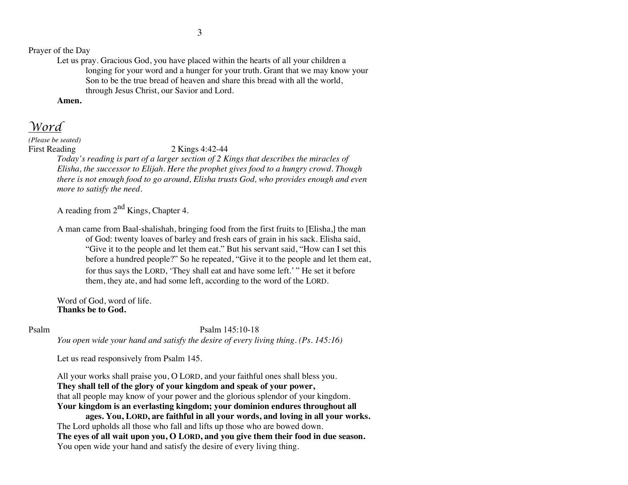Prayer of the Day

Let us pray. Gracious God, you have placed within the hearts of all your children a longing for your word and a hunger for your truth. Grant that we may know your Son to be the true bread of heaven and share this bread with all the world, through Jesus Christ, our Savior and Lord.

**Amen.**

*Word*

*(Please be seated)*

## First Reading 2 Kings 4:42-44

*Today's reading is part of a larger section of 2 Kings that describes the miracles of Elisha, the successor to Elijah. Here the prophet gives food to a hungry crowd. Though there is not enough food to go around, Elisha trusts God, who provides enough and even more to satisfy the need.*

A reading from  $2<sup>nd</sup>$  Kings, Chapter 4.

A man came from Baal-shalishah, bringing food from the first fruits to [Elisha,] the man of God: twenty loaves of barley and fresh ears of grain in his sack. Elisha said, "Give it to the people and let them eat." But his servant said, "How can I set this before a hundred people?" So he repeated, "Give it to the people and let them eat, for thus says the LORD, 'They shall eat and have some left.' " He set it before them, they ate, and had some left, according to the word of the LORD.

Word of God, word of life. **Thanks be to God.**

Psalm Psalm 145:10-18

*You open wide your hand and satisfy the desire of every living thing. (Ps. 145:16)*

Let us read responsively from Psalm 145.

All your works shall praise you, O LORD, and your faithful ones shall bless you. **They shall tell of the glory of your kingdom and speak of your power,** that all people may know of your power and the glorious splendor of your kingdom. **Your kingdom is an everlasting kingdom; your dominion endures throughout all ages. You, LORD, are faithful in all your words, and loving in all your works.** The Lord upholds all those who fall and lifts up those who are bowed down. **The eyes of all wait upon you, O LORD, and you give them their food in due season.** You open wide your hand and satisfy the desire of every living thing.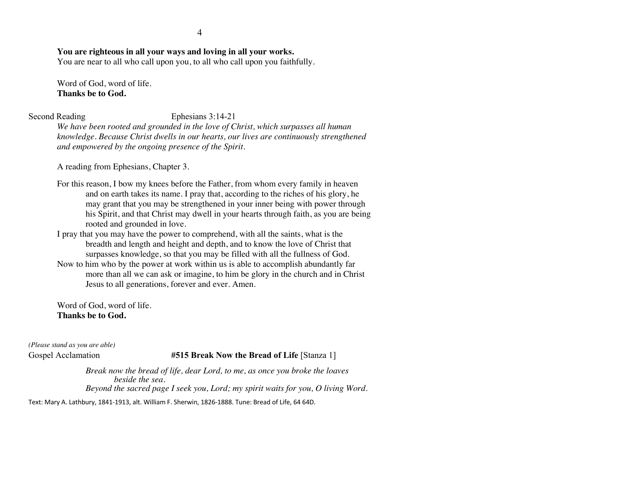## **You are righteous in all your ways and loving in all your works.**

You are near to all who call upon you, to all who call upon you faithfully.

Word of God, word of life. **Thanks be to God.**

## Second Reading Ephesians 3:14-21

*We have been rooted and grounded in the love of Christ, which surpasses all human knowledge. Because Christ dwells in our hearts, our lives are continuously strengthened and empowered by the ongoing presence of the Spirit.*

A reading from Ephesians, Chapter 3.

- For this reason, I bow my knees before the Father, from whom every family in heaven and on earth takes its name. I pray that, according to the riches of his glory, he may grant that you may be strengthened in your inner being with power through his Spirit, and that Christ may dwell in your hearts through faith, as you are being rooted and grounded in love.
- I pray that you may have the power to comprehend, with all the saints, what is the breadth and length and height and depth, and to know the love of Christ that surpasses knowledge, so that you may be filled with all the fullness of God.
- Now to him who by the power at work within us is able to accomplish abundantly far more than all we can ask or imagine, to him be glory in the church and in Christ Jesus to all generations, forever and ever. Amen.

Word of God, word of life. **Thanks be to God.**

*(Please stand as you are able)*

## Gospel Acclamation **#515 Break Now the Bread of Life** [Stanza 1]

*Break now the bread of life, dear Lord, to me, as once you broke the loaves beside the sea. Beyond the sacred page I seek you, Lord; my spirit waits for you, O living Word.*

Text: Mary A. Lathbury, 1841-1913, alt. William F. Sherwin, 1826-1888. Tune: Bread of Life, 64 64D.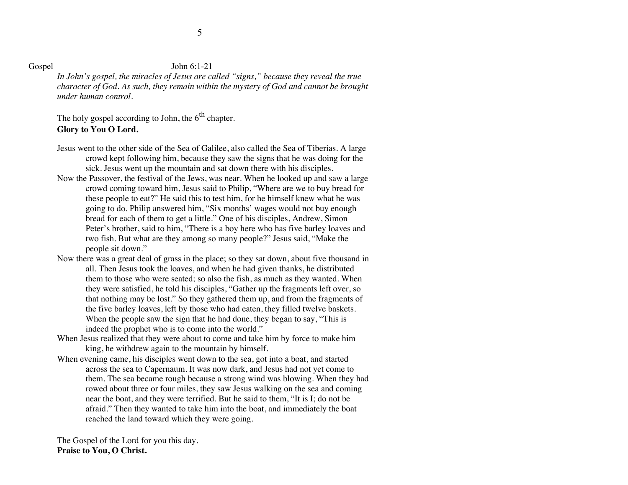## Gospel John 6:1-21

*In John's gospel, the miracles of Jesus are called "signs," because they reveal the true character of God. As such, they remain within the mystery of God and cannot be brought under human control.*

## The holy gospel according to John, the  $6<sup>th</sup>$  chapter. **Glory to You O Lord.**

- Jesus went to the other side of the Sea of Galilee, also called the Sea of Tiberias. A large crowd kept following him, because they saw the signs that he was doing for the sick. Jesus went up the mountain and sat down there with his disciples.
- Now the Passover, the festival of the Jews, was near. When he looked up and saw a large crowd coming toward him, Jesus said to Philip, "Where are we to buy bread for these people to eat?" He said this to test him, for he himself knew what he was going to do. Philip answered him, "Six months' wages would not buy enough bread for each of them to get a little." One of his disciples, Andrew, Simon Peter's brother, said to him, "There is a boy here who has five barley loaves and two fish. But what are they among so many people?" Jesus said, "Make the people sit down."
- Now there was a great deal of grass in the place; so they sat down, about five thousand in all. Then Jesus took the loaves, and when he had given thanks, he distributed them to those who were seated; so also the fish, as much as they wanted. When they were satisfied, he told his disciples, "Gather up the fragments left over, so that nothing may be lost." So they gathered them up, and from the fragments of the five barley loaves, left by those who had eaten, they filled twelve baskets. When the people saw the sign that he had done, they began to say, "This is indeed the prophet who is to come into the world."
- When Jesus realized that they were about to come and take him by force to make him king, he withdrew again to the mountain by himself.
- When evening came, his disciples went down to the sea, got into a boat, and started across the sea to Capernaum. It was now dark, and Jesus had not yet come to them. The sea became rough because a strong wind was blowing. When they had rowed about three or four miles, they saw Jesus walking on the sea and coming near the boat, and they were terrified. But he said to them, "It is I; do not be afraid." Then they wanted to take him into the boat, and immediately the boat reached the land toward which they were going.

The Gospel of the Lord for you this day. **Praise to You, O Christ.**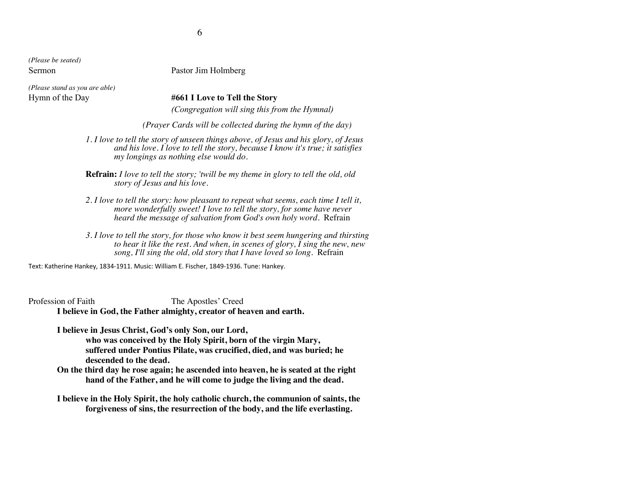*(Please be seated)*

*(Please stand as you are able)*

## Sermon Pastor Jim Holmberg

### Hymn of the Day **#661 I Love to Tell the Story**

*(Congregation will sing this from the Hymnal)*

*(Prayer Cards will be collected during the hymn of the day)*

*1. I love to tell the story of unseen things above, of Jesus and his glory, of Jesus and his love. I love to tell the story, because I know it's true; it satisfies my longings as nothing else would do.*

**Refrain:** *I love to tell the story; 'twill be my theme in glory to tell the old, old story of Jesus and his love.*

- *2. I love to tell the story: how pleasant to repeat what seems, each time I tell it, more wonderfully sweet! I love to tell the story, for some have never heard the message of salvation from God's own holy word.* Refrain
- *3. I love to tell the story, for those who know it best seem hungering and thirsting to hear it like the rest. And when, in scenes of glory, I sing the new, new song, I'll sing the old, old story that I have loved so long.* Refrain

Text: Katherine Hankey, 1834-1911. Music: William E. Fischer, 1849-1936. Tune: Hankey.

Profession of Faith The Apostles' Creed **I believe in God, the Father almighty, creator of heaven and earth.**

> **I believe in Jesus Christ, God's only Son, our Lord, who was conceived by the Holy Spirit, born of the virgin Mary, suffered under Pontius Pilate, was crucified, died, and was buried; he descended to the dead.**

**On the third day he rose again; he ascended into heaven, he is seated at the right hand of the Father, and he will come to judge the living and the dead.**

**I believe in the Holy Spirit, the holy catholic church, the communion of saints, the forgiveness of sins, the resurrection of the body, and the life everlasting.**

6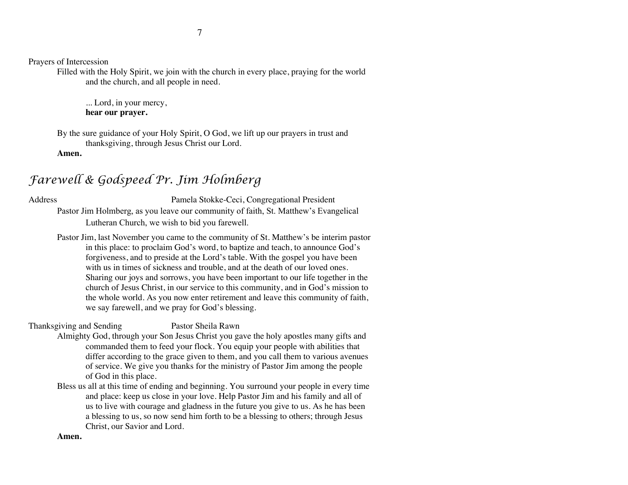Prayers of Intercession

Filled with the Holy Spirit, we join with the church in every place, praying for the world and the church, and all people in need.

... Lord, in your mercy, **hear our prayer.**

By the sure guidance of your Holy Spirit, O God, we lift up our prayers in trust and thanksgiving, through Jesus Christ our Lord.

**Amen.**

# *Farewell & Godspeed Pr. Jim Holmberg*

Address Pamela Stokke-Ceci, Congregational President Pastor Jim Holmberg, as you leave our community of faith, St. Matthew's Evangelical Lutheran Church, we wish to bid you farewell.

Pastor Jim, last November you came to the community of St. Matthew's be interim pastor in this place: to proclaim God's word, to baptize and teach, to announce God's forgiveness, and to preside at the Lord's table. With the gospel you have been with us in times of sickness and trouble, and at the death of our loved ones. Sharing our joys and sorrows, you have been important to our life together in the church of Jesus Christ, in our service to this community, and in God's mission to the whole world. As you now enter retirement and leave this community of faith, we say farewell, and we pray for God's blessing.

Thanksgiving and Sending Pastor Sheila Rawn

- Almighty God, through your Son Jesus Christ you gave the holy apostles many gifts and commanded them to feed your flock. You equip your people with abilities that differ according to the grace given to them, and you call them to various avenues of service. We give you thanks for the ministry of Pastor Jim among the people of God in this place.
- Bless us all at this time of ending and beginning. You surround your people in every time and place: keep us close in your love. Help Pastor Jim and his family and all of us to live with courage and gladness in the future you give to us. As he has been a blessing to us, so now send him forth to be a blessing to others; through Jesus Christ, our Savior and Lord.

## **Amen.**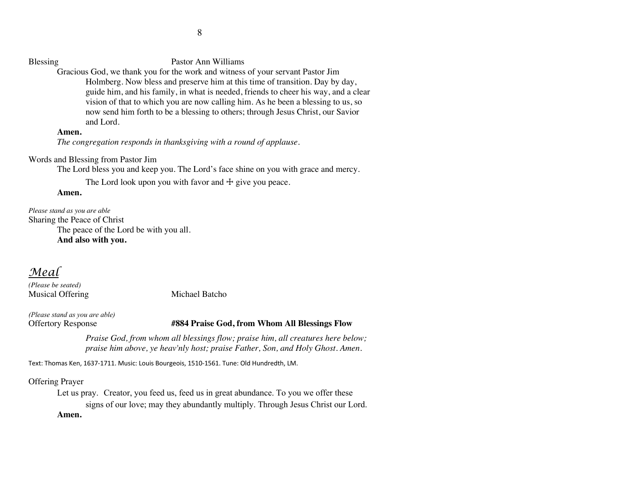## Blessing Pastor Ann Williams

Gracious God, we thank you for the work and witness of your servant Pastor Jim Holmberg. Now bless and preserve him at this time of transition. Day by day, guide him, and his family, in what is needed, friends to cheer his way, and a clear vision of that to which you are now calling him. As he been a blessing to us, so now send him forth to be a blessing to others; through Jesus Christ, our Savior and Lord.

## **Amen.**

*The congregation responds in thanksgiving with a round of applause.*

Words and Blessing from Pastor Jim

The Lord bless you and keep you. The Lord's face shine on you with grace and mercy.

The Lord look upon you with favor and  $\pm$  give you peace.

**Amen.**

*Please stand as you are able* Sharing the Peace of Christ The peace of the Lord be with you all. **And also with you.**

# *Meal*

*(Please be seated)* Musical Offering Michael Batcho

*(Please stand as you are able)*

## Offertory Response **#884 Praise God, from Whom All Blessings Flow**

*Praise God, from whom all blessings flow; praise him, all creatures here below; praise him above, ye heav'nly host; praise Father, Son, and Holy Ghost. Amen.*

Text: Thomas Ken, 1637-1711. Music: Louis Bourgeois, 1510-1561. Tune: Old Hundredth, LM.

Offering Prayer

Let us pray. Creator, you feed us, feed us in great abundance. To you we offer these signs of our love; may they abundantly multiply. Through Jesus Christ our Lord.

**Amen.**